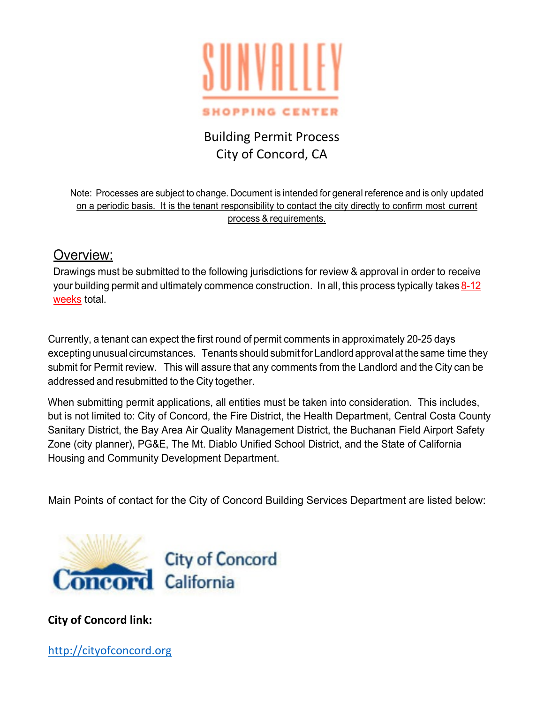

# Building Permit Process City of Concord, CA

Note: Processes are subject to change. Document is intended for general reference and is only updated on a periodic basis. It is the tenant responsibility to contact the city directly to confirm most current process & requirements.

# Overview:

Drawings must be submitted to the following jurisdictions for review & approval in order to receive your building permit and ultimately commence construction. In all, this process typically takes 8-12 weeks total.

Currently, a tenant can expect the first round of permit comments in approximately 20-25 days excepting unusual circumstances. Tenants should submitfor Landlord approval atthesame time they submit for Permit review. This will assure that any comments from the Landlord and the City can be addressed and resubmitted to the City together.

When submitting permit applications, all entities must be taken into consideration. This includes, but is not limited to: City of Concord, the Fire District, the Health Department, Central Costa County Sanitary District, the Bay Area Air Quality Management District, the Buchanan Field Airport Safety Zone (city planner), PG&E, The Mt. Diablo Unified School District, and the State of California Housing and Community Development Department.

Main Points of contact for the City of Concord Building Services Department are listed below:



**City of Concord link:**

[http://cityofconcord.org](http://cityofconcord.org/)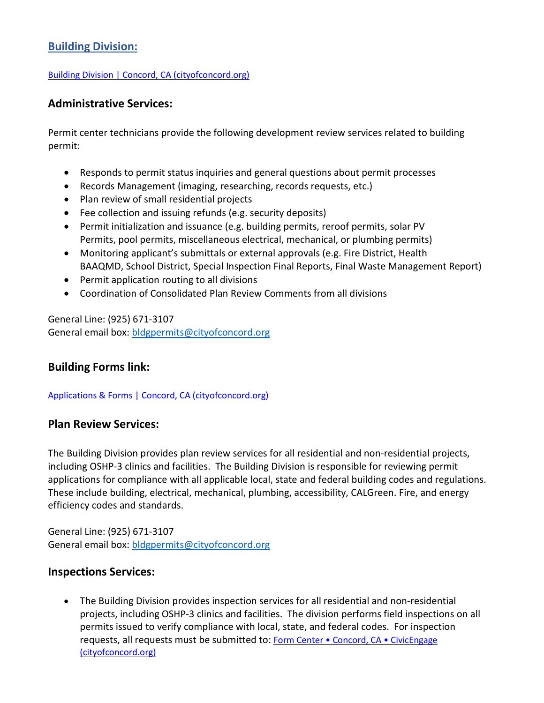# **Building Division:**

### [Building Division | Concord, CA \(cityofconcord.org\)](https://nam12.safelinks.protection.outlook.com/?url=http%3A%2F%2Fcityofconcord.org%2F180%2FBuilding-Division&data=04%7C01%7CRTambourine%40Taubman.com%7Cfeab82de72074c99611f08d9dae1ec50%7Ce45d96fbd2f34c7f9bc06a539ab0e420%7C0%7C0%7C637781486127120511%7CUnknown%7CTWFpbGZsb3d8eyJWIjoiMC4wLjAwMDAiLCJQIjoiV2luMzIiLCJBTiI6Ik1haWwiLCJXVCI6Mn0%3D%7C3000&sdata=tlu2Q73gDi43MynvftRPOh%2FcKQGM%2BroN23wj5oSgNB0%3D&reserved=0)

### **Administrative Services:**

Permit center technicians provide the following development review services related to building permit:

- Responds to permit status inquiries and general questions about permit processes
- Records Management (imaging, researching, records requests, etc.)
- Plan review of small residential projects
- Fee collection and issuing refunds (e.g. security deposits)
- Permit initialization and issuance (e.g. building permits, reroof permits, solar PV Permits, pool permits, miscellaneous electrical, mechanical, or plumbing permits)
- Monitoring applicant's submittals or external approvals (e.g. Fire District, Health BAAQMD, School District, Special Inspection Final Reports, Final Waste Management Report)
- Permit application routing to all divisions
- Coordination of Consolidated Plan Review Comments from all divisions

General Line: (925) 671-3107 General email box: [bldgpermits@cityofconcord.org](mailto:bldgpermits@cityofconcord.org)

### **Building Forms link:**

### [Applications & Forms | Concord, CA \(cityofconcord.org\)](https://nam12.safelinks.protection.outlook.com/?url=http%3A%2F%2Fcityofconcord.org%2F713%2FApplications-Forms&data=04%7C01%7CRTambourine%40Taubman.com%7Cfeab82de72074c99611f08d9dae1ec50%7Ce45d96fbd2f34c7f9bc06a539ab0e420%7C0%7C0%7C637781486127120511%7CUnknown%7CTWFpbGZsb3d8eyJWIjoiMC4wLjAwMDAiLCJQIjoiV2luMzIiLCJBTiI6Ik1haWwiLCJXVCI6Mn0%3D%7C3000&sdata=vVO453esSDXfaDUabiV2zD5pVbc%2BGx6Yp166TJyw7Eo%3D&reserved=0)

### **Plan Review Services:**

The Building Division provides plan review services for all residential and non-residential projects, including OSHP-3 clinics and facilities. The Building Division is responsible for reviewing permit applications for compliance with all applicable local, state and federal building codes and regulations. These include building, electrical, mechanical, plumbing, accessibility, CALGreen. Fire, and energy efficiency codes and standards.

General Line: (925) 671-3107 General email box: [bldgpermits@cityofconcord.org](mailto:bldgpermits@cityofconcord.org)

### **Inspections Services:**

• The Building Division provides inspection services for all residential and non-residential projects, including OSHP-3 clinics and facilities. The division performs field inspections on all permits issued to verify compliance with local, state, and federal codes. For inspection requests, all requests must be submitted to: [Form Center • Concord, CA • CivicEngage](https://nam12.safelinks.protection.outlook.com/?url=http%3A%2F%2Fwww.cityofconcord.org%2FFormCenter%2FBuilding-18%2FInspection-Request-Form-69&data=04%7C01%7CRTambourine%40Taubman.com%7Cfeab82de72074c99611f08d9dae1ec50%7Ce45d96fbd2f34c7f9bc06a539ab0e420%7C0%7C0%7C637781486127120511%7CUnknown%7CTWFpbGZsb3d8eyJWIjoiMC4wLjAwMDAiLCJQIjoiV2luMzIiLCJBTiI6Ik1haWwiLCJXVCI6Mn0%3D%7C3000&sdata=2cYZuAjt2Ao5dQTclKSoKMVwX54uXpy5JkPT2liF67Y%3D&reserved=0)  [\(cityofconcord.org\)](https://nam12.safelinks.protection.outlook.com/?url=http%3A%2F%2Fwww.cityofconcord.org%2FFormCenter%2FBuilding-18%2FInspection-Request-Form-69&data=04%7C01%7CRTambourine%40Taubman.com%7Cfeab82de72074c99611f08d9dae1ec50%7Ce45d96fbd2f34c7f9bc06a539ab0e420%7C0%7C0%7C637781486127120511%7CUnknown%7CTWFpbGZsb3d8eyJWIjoiMC4wLjAwMDAiLCJQIjoiV2luMzIiLCJBTiI6Ik1haWwiLCJXVCI6Mn0%3D%7C3000&sdata=2cYZuAjt2Ao5dQTclKSoKMVwX54uXpy5JkPT2liF67Y%3D&reserved=0)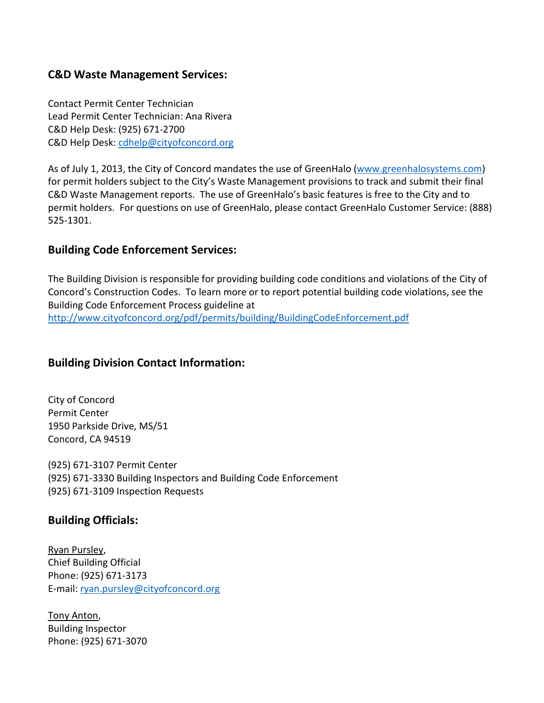### **C&D Waste Management Services:**

Contact Permit Center Technician Lead Permit Center Technician: Ana Rivera C&D Help Desk: (925) 671-2700 C&D Help Desk: [cdhelp@cityofconcord.org](mailto:cdhelp@cityofconcord.org)

As of July 1, 2013, the City of Concord mandates the use of GreenHalo [\(www.greenhalosystems.com\)](http://www.greenhalosystems.com/) for permit holders subject to the City's Waste Management provisions to track and submit their final C&D Waste Management reports. The use of GreenHalo's basic features is free to the City and to permit holders. For questions on use of GreenHalo, please contact GreenHalo Customer Service: (888) 525-1301.

### **Building Code Enforcement Services:**

The Building Division is responsible for providing building code conditions and violations of the City of Concord's Construction Codes. To learn more or to report potential building code violations, see the Building Code Enforcement Process guideline at

<http://www.cityofconcord.org/pdf/permits/building/BuildingCodeEnforcement.pdf>

# **Building Division Contact Information:**

City of Concord Permit Center 1950 Parkside Drive, MS/51 Concord, CA 94519

(925) 671-3107 Permit Center (925) 671-3330 Building Inspectors and Building Code Enforcement (925) 671-3109 Inspection Requests

# **Building Officials:**

Ryan Pursley, Chief Building Official Phone: (925) 671-3173 E-mail: [ryan.pursley@cityofconcord.org](mailto:ryan.pursley@cityofconcord.org)

Tony Anton, Building Inspector Phone: (925) 671-3070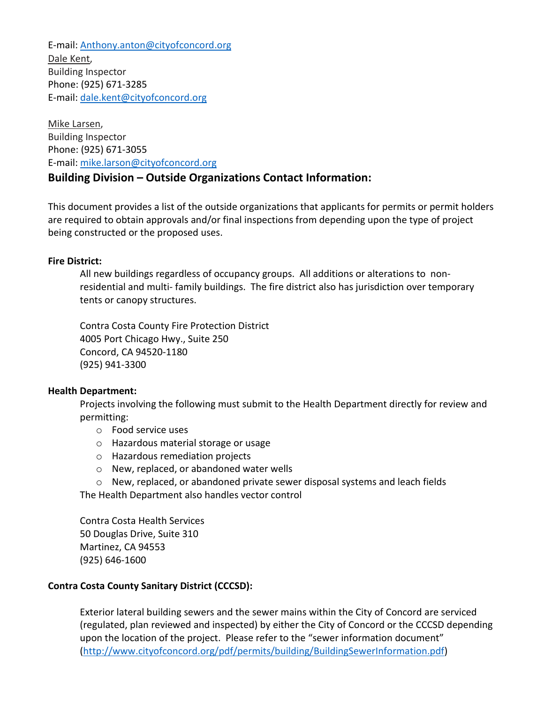E-mail: [Anthony.anton@cityofconcord.org](mailto:Anthony.anton@cityofconcord.org) Dale Kent, Building Inspector Phone: (925) 671-3285 E-mail: [dale.kent@cityofconcord.org](mailto:dale.kent@cityofconcord.org)

Mike Larsen, Building Inspector Phone: (925) 671-3055 E-mail: [mike.larson@cityofconcord.org](mailto:mike.larson@cityofconcord.org)

# **Building Division – Outside Organizations Contact Information:**

This document provides a list of the outside organizations that applicants for permits or permit holders are required to obtain approvals and/or final inspections from depending upon the type of project being constructed or the proposed uses.

### **Fire District:**

All new buildings regardless of occupancy groups. All additions or alterations to nonresidential and multi- family buildings. The fire district also has jurisdiction over temporary tents or canopy structures.

Contra Costa County Fire Protection District 4005 Port Chicago Hwy., Suite 250 Concord, CA 94520-1180 (925) 941-3300

### **Health Department:**

Projects involving the following must submit to the Health Department directly for review and permitting:

- o Food service uses
- o Hazardous material storage or usage
- o Hazardous remediation projects
- o New, replaced, or abandoned water wells
- $\circ$  New, replaced, or abandoned private sewer disposal systems and leach fields

The Health Department also handles vector control

Contra Costa Health Services 50 Douglas Drive, Suite 310 Martinez, CA 94553 (925) 646-1600

### **Contra Costa County Sanitary District (CCCSD):**

Exterior lateral building sewers and the sewer mains within the City of Concord are serviced (regulated, plan reviewed and inspected) by either the City of Concord or the CCCSD depending upon the location of the project. Please refer to the "sewer information document" [\(http://www.cityofconcord.org/pdf/permits/building/BuildingSewerInformation.pdf\)](http://www.cityofconcord.org/pdf/permits/building/BuildingSewerInformation.pdf)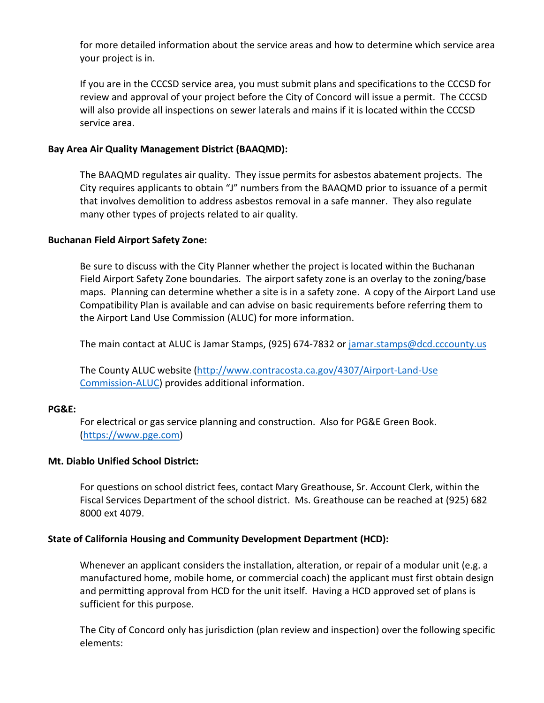for more detailed information about the service areas and how to determine which service area your project is in.

If you are in the CCCSD service area, you must submit plans and specifications to the CCCSD for review and approval of your project before the City of Concord will issue a permit. The CCCSD will also provide all inspections on sewer laterals and mains if it is located within the CCCSD service area.

### **Bay Area Air Quality Management District (BAAQMD):**

The BAAQMD regulates air quality. They issue permits for asbestos abatement projects. The City requires applicants to obtain "J" numbers from the BAAQMD prior to issuance of a permit that involves demolition to address asbestos removal in a safe manner. They also regulate many other types of projects related to air quality.

### **Buchanan Field Airport Safety Zone:**

Be sure to discuss with the City Planner whether the project is located within the Buchanan Field Airport Safety Zone boundaries. The airport safety zone is an overlay to the zoning/base maps. Planning can determine whether a site is in a safety zone. A copy of the Airport Land use Compatibility Plan is available and can advise on basic requirements before referring them to the Airport Land Use Commission (ALUC) for more information.

The main contact at ALUC is Jamar Stamps, (925) 674-7832 or [jamar.stamps@dcd.cccounty.us](mailto:jamar.stamps@dcd.cccounty.us)

The County ALUC website [\(http://www.contracosta.ca.gov/4307/Airport-Land-Use](http://www.contracosta.ca.gov/4307/Airport-Land-UseCommission-ALUC) [Commission-ALUC\)](http://www.contracosta.ca.gov/4307/Airport-Land-UseCommission-ALUC) provides additional information.

### **PG&E:**

For electrical or gas service planning and construction. Also for PG&E Green Book. [\(https://www.pge.com\)](https://www.pge.com/)

### **Mt. Diablo Unified School District:**

For questions on school district fees, contact Mary Greathouse, Sr. Account Clerk, within the Fiscal Services Department of the school district. Ms. Greathouse can be reached at (925) 682 8000 ext 4079.

### **State of California Housing and Community Development Department (HCD):**

Whenever an applicant considers the installation, alteration, or repair of a modular unit (e.g. a manufactured home, mobile home, or commercial coach) the applicant must first obtain design and permitting approval from HCD for the unit itself. Having a HCD approved set of plans is sufficient for this purpose.

The City of Concord only has jurisdiction (plan review and inspection) over the following specific elements: